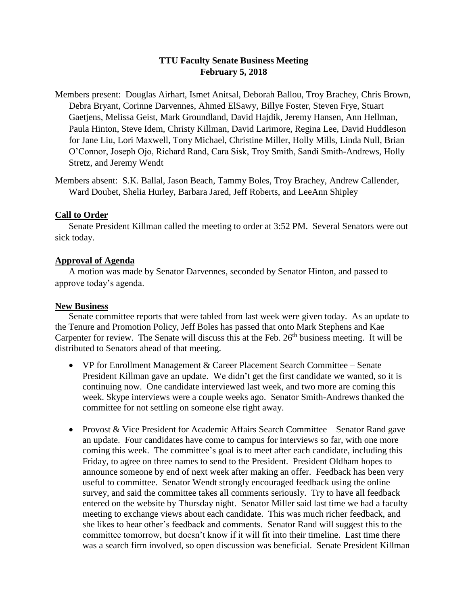# **TTU Faculty Senate Business Meeting February 5, 2018**

- Members present: Douglas Airhart, Ismet Anitsal, Deborah Ballou, Troy Brachey, Chris Brown, Debra Bryant, Corinne Darvennes, Ahmed ElSawy, Billye Foster, Steven Frye, Stuart Gaetjens, Melissa Geist, Mark Groundland, David Hajdik, Jeremy Hansen, Ann Hellman, Paula Hinton, Steve Idem, Christy Killman, David Larimore, Regina Lee, David Huddleson for Jane Liu, Lori Maxwell, Tony Michael, Christine Miller, Holly Mills, Linda Null, Brian O'Connor, Joseph Ojo, Richard Rand, Cara Sisk, Troy Smith, Sandi Smith-Andrews, Holly Stretz, and Jeremy Wendt
- Members absent: S.K. Ballal, Jason Beach, Tammy Boles, Troy Brachey, Andrew Callender, Ward Doubet, Shelia Hurley, Barbara Jared, Jeff Roberts, and LeeAnn Shipley

### **Call to Order**

Senate President Killman called the meeting to order at 3:52 PM. Several Senators were out sick today.

### **Approval of Agenda**

A motion was made by Senator Darvennes, seconded by Senator Hinton, and passed to approve today's agenda.

#### **New Business**

Senate committee reports that were tabled from last week were given today. As an update to the Tenure and Promotion Policy, Jeff Boles has passed that onto Mark Stephens and Kae Carpenter for review. The Senate will discuss this at the Feb. 26<sup>th</sup> business meeting. It will be distributed to Senators ahead of that meeting.

- VP for Enrollment Management & Career Placement Search Committee Senate President Killman gave an update. We didn't get the first candidate we wanted, so it is continuing now. One candidate interviewed last week, and two more are coming this week. Skype interviews were a couple weeks ago. Senator Smith-Andrews thanked the committee for not settling on someone else right away.
- Provost & Vice President for Academic Affairs Search Committee Senator Rand gave an update. Four candidates have come to campus for interviews so far, with one more coming this week. The committee's goal is to meet after each candidate, including this Friday, to agree on three names to send to the President. President Oldham hopes to announce someone by end of next week after making an offer. Feedback has been very useful to committee. Senator Wendt strongly encouraged feedback using the online survey, and said the committee takes all comments seriously. Try to have all feedback entered on the website by Thursday night. Senator Miller said last time we had a faculty meeting to exchange views about each candidate. This was much richer feedback, and she likes to hear other's feedback and comments. Senator Rand will suggest this to the committee tomorrow, but doesn't know if it will fit into their timeline. Last time there was a search firm involved, so open discussion was beneficial. Senate President Killman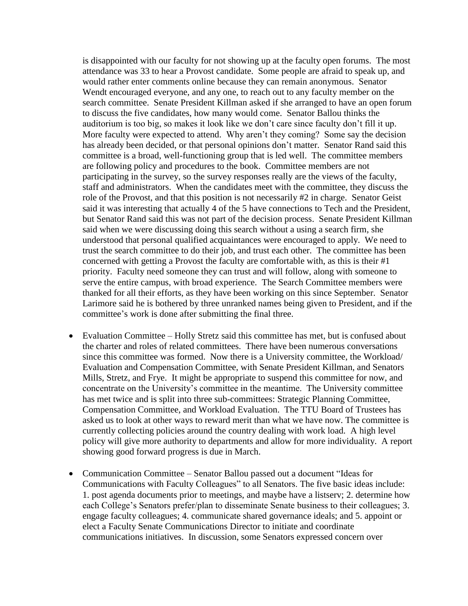is disappointed with our faculty for not showing up at the faculty open forums. The most attendance was 33 to hear a Provost candidate. Some people are afraid to speak up, and would rather enter comments online because they can remain anonymous. Senator Wendt encouraged everyone, and any one, to reach out to any faculty member on the search committee. Senate President Killman asked if she arranged to have an open forum to discuss the five candidates, how many would come. Senator Ballou thinks the auditorium is too big, so makes it look like we don't care since faculty don't fill it up. More faculty were expected to attend. Why aren't they coming? Some say the decision has already been decided, or that personal opinions don't matter. Senator Rand said this committee is a broad, well-functioning group that is led well. The committee members are following policy and procedures to the book. Committee members are not participating in the survey, so the survey responses really are the views of the faculty, staff and administrators. When the candidates meet with the committee, they discuss the role of the Provost, and that this position is not necessarily #2 in charge. Senator Geist said it was interesting that actually 4 of the 5 have connections to Tech and the President, but Senator Rand said this was not part of the decision process. Senate President Killman said when we were discussing doing this search without a using a search firm, she understood that personal qualified acquaintances were encouraged to apply. We need to trust the search committee to do their job, and trust each other. The committee has been concerned with getting a Provost the faculty are comfortable with, as this is their #1 priority. Faculty need someone they can trust and will follow, along with someone to serve the entire campus, with broad experience. The Search Committee members were thanked for all their efforts, as they have been working on this since September. Senator Larimore said he is bothered by three unranked names being given to President, and if the committee's work is done after submitting the final three.

- Evaluation Committee Holly Stretz said this committee has met, but is confused about the charter and roles of related committees. There have been numerous conversations since this committee was formed. Now there is a University committee, the Workload/ Evaluation and Compensation Committee, with Senate President Killman, and Senators Mills, Stretz, and Frye. It might be appropriate to suspend this committee for now, and concentrate on the University's committee in the meantime. The University committee has met twice and is split into three sub-committees: Strategic Planning Committee, Compensation Committee, and Workload Evaluation. The TTU Board of Trustees has asked us to look at other ways to reward merit than what we have now. The committee is currently collecting policies around the country dealing with work load. A high level policy will give more authority to departments and allow for more individuality. A report showing good forward progress is due in March.
- Communication Committee Senator Ballou passed out a document "Ideas for Communications with Faculty Colleagues" to all Senators. The five basic ideas include: 1. post agenda documents prior to meetings, and maybe have a listserv; 2. determine how each College's Senators prefer/plan to disseminate Senate business to their colleagues; 3. engage faculty colleagues; 4. communicate shared governance ideals; and 5. appoint or elect a Faculty Senate Communications Director to initiate and coordinate communications initiatives. In discussion, some Senators expressed concern over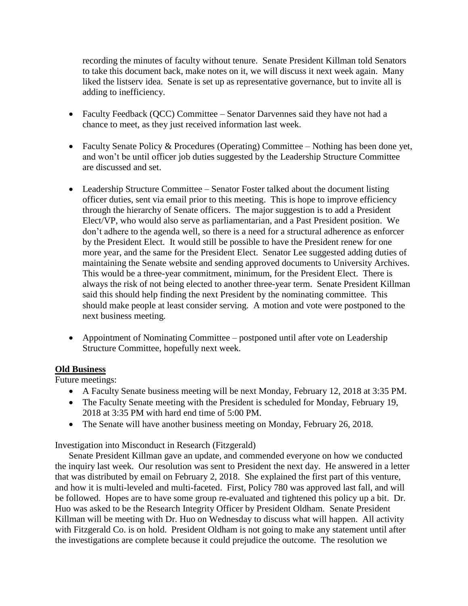recording the minutes of faculty without tenure. Senate President Killman told Senators to take this document back, make notes on it, we will discuss it next week again. Many liked the listserv idea. Senate is set up as representative governance, but to invite all is adding to inefficiency.

- Faculty Feedback (QCC) Committee Senator Darvennes said they have not had a chance to meet, as they just received information last week.
- Faculty Senate Policy & Procedures (Operating) Committee Nothing has been done yet, and won't be until officer job duties suggested by the Leadership Structure Committee are discussed and set.
- Leadership Structure Committee Senator Foster talked about the document listing officer duties, sent via email prior to this meeting. This is hope to improve efficiency through the hierarchy of Senate officers. The major suggestion is to add a President Elect/VP, who would also serve as parliamentarian, and a Past President position. We don't adhere to the agenda well, so there is a need for a structural adherence as enforcer by the President Elect. It would still be possible to have the President renew for one more year, and the same for the President Elect. Senator Lee suggested adding duties of maintaining the Senate website and sending approved documents to University Archives. This would be a three-year commitment, minimum, for the President Elect. There is always the risk of not being elected to another three-year term. Senate President Killman said this should help finding the next President by the nominating committee. This should make people at least consider serving. A motion and vote were postponed to the next business meeting.
- Appointment of Nominating Committee postponed until after vote on Leadership Structure Committee, hopefully next week.

## **Old Business**

Future meetings:

- A Faculty Senate business meeting will be next Monday, February 12, 2018 at 3:35 PM.
- The Faculty Senate meeting with the President is scheduled for Monday, February 19, 2018 at 3:35 PM with hard end time of 5:00 PM.
- The Senate will have another business meeting on Monday, February 26, 2018.

Investigation into Misconduct in Research (Fitzgerald)

Senate President Killman gave an update, and commended everyone on how we conducted the inquiry last week. Our resolution was sent to President the next day. He answered in a letter that was distributed by email on February 2, 2018. She explained the first part of this venture, and how it is multi-leveled and multi-faceted. First, Policy 780 was approved last fall, and will be followed. Hopes are to have some group re-evaluated and tightened this policy up a bit. Dr. Huo was asked to be the Research Integrity Officer by President Oldham. Senate President Killman will be meeting with Dr. Huo on Wednesday to discuss what will happen. All activity with Fitzgerald Co. is on hold. President Oldham is not going to make any statement until after the investigations are complete because it could prejudice the outcome. The resolution we